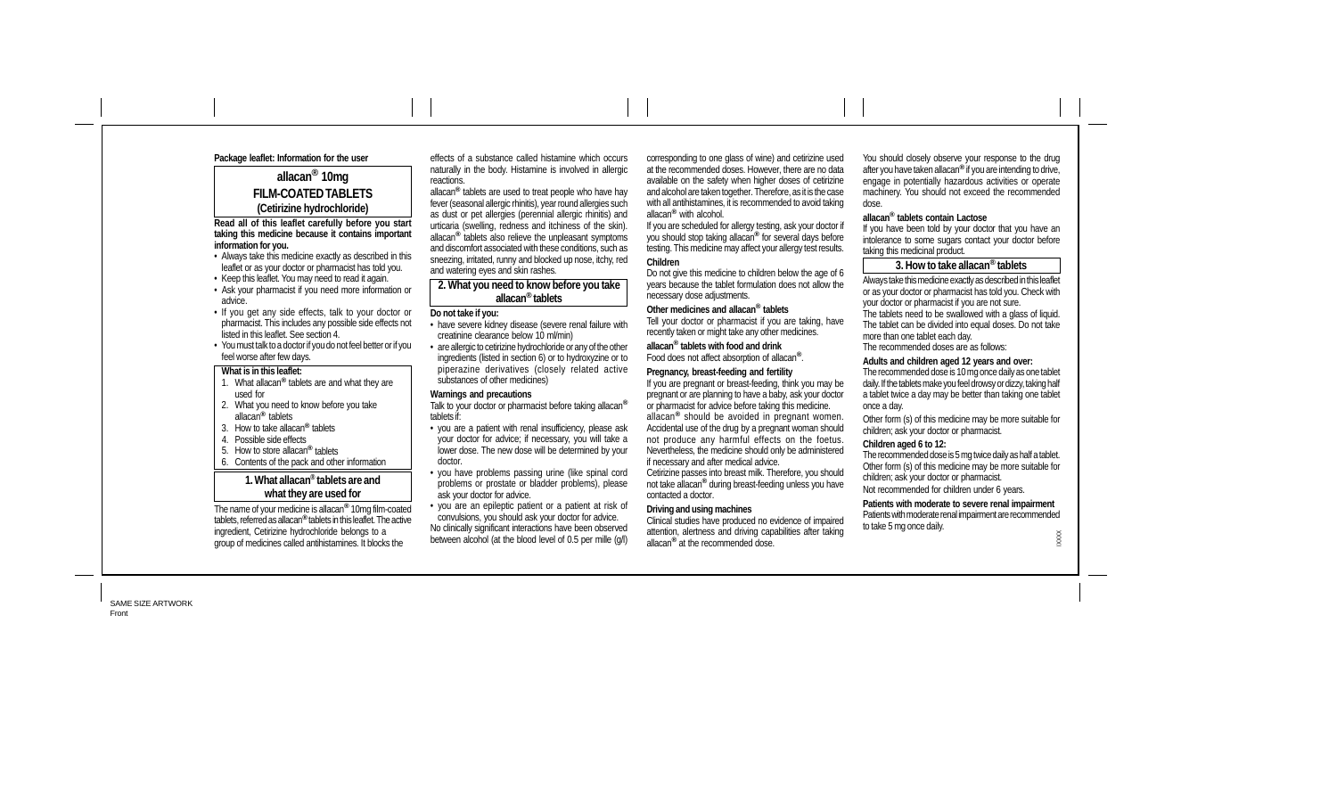## **Package leaflet: Information for the user**

# **allacan® 10mg FILM-COATED TABLETS (Cetirizine hydrochloride)**

**Read all of this leaflet carefully before you start taking this medicine because it contains important information for you.**

- Always take this medicine exactly as described in this leaflet or as your doctor or pharmacist has told you.
- Keep this leaflet. You may need to read it again.
- Ask your pharmacist if you need more information or advice.
- If you get any side effects, talk to your doctor or
- pharmacist. This includes any possible side effects not listed in this leaflet. See section 4. • You must talk to a doctor if you do not feel better or if you
- feel worse after few days.

# **What is in this leaflet:**

- 1. What allacan**®** tablets are and what they are used for 2. What you need to know before you take
- allacan**®** tablets
- 3. How to take allacan**®** tablets
- 4. Possible side effects 5. How to store allacan**®** tablets
- 6. Contents of the pack and other information

# **1. What allacan® tablets are and what they are used for**

The name of your medicine is allacan**®** 10mg film-coated tablets, referred as allacan**®** tablets in this leaflet. The active ingredient, Cetirizine hydrochloride belongs to a group of medicines called antihistamines. It blocks the

effects of a substance called histamine which occurs naturally in the body. Histamine is involved in allergic reactions.

allacan**®** tablets are used to treat people who have hay fever (seasonal allergic rhinitis), year round allergies such as dust or pet allergies (perennial allergic rhinitis) and urticaria (swelling, redness and itchiness of the skin). allacan**®** tablets also relieve the unpleasant symptoms and discomfort associated with these conditions, such as sneezing, irritated, runny and blocked up nose, itchy, red and watering eyes and skin rashes.

## **2. What you need to know before you take allacan® tablets**

#### **Do not take if you:**

- have severe kidney disease (severe renal failure with creatinine clearance below 10 ml/min) • are allergic to cetirizine hydrochloride or any of the other
- ingredients (listed in section 6) or to hydroxyzine or to piperazine derivatives (closely related active substances of other medicines) **Warnings and precautions**

#### Talk to your doctor or pharmacist before taking allacan**®** tablets if:

- you are a patient with renal insufficiency, please ask your doctor for advice; if necessary, you will take a lower dose. The new dose will be determined by your doctor.
- you have problems passing urine (like spinal cord problems or prostate or bladder problems), please ask your doctor for advice.

• you are an epileptic patient or a patient at risk of convulsions, you should ask your doctor for advice. No clinically significant interactions have been observed between alcohol (at the blood level of 0.5 per mille (g/l) corresponding to one glass of wine) and cetirizine used at the recommended doses. However, there are no data available on the safety when higher doses of cetirizine and alcohol are taken together. Therefore, as it is the case with all antihistamines, it is recommended to avoid taking allacan**®** with alcohol.

If you are scheduled for allergy testing, ask your doctor if you should stop taking allacan**®** for several days before testing. This medicine may affect your allergy test results. **Children**

# Do not give this medicine to children below the age of 6

years because the tablet formulation does not allow the necessary dose adjustments.

# **Other medicines and allacan® tablets**

Tell your doctor or pharmacist if you are taking, have recently taken or might take any other medicines.

**allacan® tablets with food and drink** Food does not affect absorption of allacan**®**.

## **Pregnancy, breast-feeding and fertility**

If you are pregnant or breast-feeding, think you may be pregnant or are planning to have a baby, ask your doctor or pharmacist for advice before taking this medicine. allacan**®** should be avoided in pregnant women. Accidental use of the drug by a pregnant woman should not produce any harmful effects on the foetus. Nevertheless, the medicine should only be administered

if necessary and after medical advice. Cetirizine passes into breast milk. Therefore, you should not take allacan**®** during breast-feeding unless you have contacted a doctor.

#### **Driving and using machines**

Clinical studies have produced no evidence of impaired attention, alertness and driving capabilities after taking allacan**®** at the recommended dose.

You should closely observe your response to the drug after you have taken allacan**®** if you are intending to drive, engage in potentially hazardous activities or operate machinery. You should not exceed the recommended dose.

#### **allacan® tablets contain Lactose**

If you have been told by your doctor that you have an intolerance to some sugars contact your doctor before taking this medicinal product.

# **3. How to take allacan® tablets**

Always take this medicine exactly as described in this leaflet or as your doctor or pharmacist has told you. Check with your doctor or pharmacist if you are not sure. The tablets need to be swallowed with a glass of liquid. The tablet can be divided into equal doses. Do not take more than one tablet each day. The recommended doses are as follows:

#### **Adults and children aged 12 years and over:**

The recommended dose is 10 mg once daily as one tablet daily. If the tablets make you feel drowsy or dizzy, taking half a tablet twice a day may be better than taking one tablet once a day.

Other form (s) of this medicine may be more suitable for children; ask your doctor or pharmacist.

#### **Children aged 6 to 12:**

The recommended dose is 5 mg twice daily as half a tablet. Other form (s) of this medicine may be more suitable for children; ask your doctor or pharmacist. Not recommended for children under 6 years.

**Patients with moderate to severe renal impairment**

Patients with moderate renal impairment are recommended to take 5 mg once daily.

IXXXX